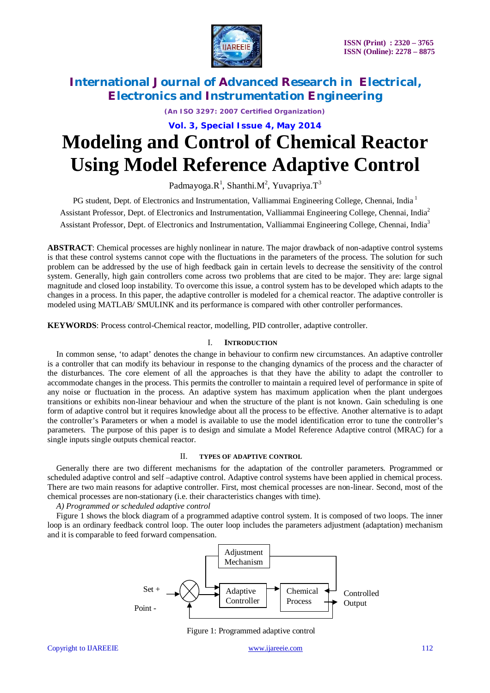

*(An ISO 3297: 2007 Certified Organization)*

**Vol. 3, Special Issue 4, May 2014**

# **Modeling and Control of Chemical Reactor Using Model Reference Adaptive Control**

Padmayoga. $R^1$ , Shanthi. $M^2$ , Yuvapriya. $T^3$ 

PG student, Dept. of Electronics and Instrumentation, Valliammai Engineering College, Chennai, India <sup>1</sup> Assistant Professor, Dept. of Electronics and Instrumentation, Valliammai Engineering College, Chennai, India<sup>2</sup> Assistant Professor, Dept. of Electronics and Instrumentation, Valliammai Engineering College, Chennai, India<sup>3</sup>

**ABSTRACT**: Chemical processes are highly nonlinear in nature. The major drawback of non-adaptive control systems is that these control systems cannot cope with the fluctuations in the parameters of the process. The solution for such problem can be addressed by the use of high feedback gain in certain levels to decrease the sensitivity of the control system. Generally, high gain controllers come across two problems that are cited to be major. They are: large signal magnitude and closed loop instability. To overcome this issue, a control system has to be developed which adapts to the changes in a process. In this paper, the adaptive controller is modeled for a chemical reactor. The adaptive controller is modeled using MATLAB/ SMULINK and its performance is compared with other controller performances.

**KEYWORDS**: Process control-Chemical reactor, modelling, PID controller, adaptive controller.

### I. **INTRODUCTION**

In common sense, 'to adapt' denotes the change in behaviour to confirm new circumstances. An adaptive controller is a controller that can modify its behaviour in response to the changing dynamics of the process and the character of the disturbances. The core element of all the approaches is that they have the ability to adapt the controller to accommodate changes in the process. This permits the controller to maintain a required level of performance in spite of any noise or fluctuation in the process. An adaptive system has maximum application when the plant undergoes transitions or exhibits non-linear behaviour and when the structure of the plant is not known. Gain scheduling is one form of adaptive control but it requires knowledge about all the process to be effective. Another alternative is to adapt the controller's Parameters or when a model is available to use the model identification error to tune the controller's parameters. The purpose of this paper is to design and simulate a Model Reference Adaptive control (MRAC) for a single inputs single outputs chemical reactor.

### II. **TYPES OF ADAPTIVE CONTROL**

Generally there are two different mechanisms for the adaptation of the controller parameters. Programmed or scheduled adaptive control and self –adaptive control. Adaptive control systems have been applied in chemical process. There are two main reasons for adaptive controller. First, most chemical processes are non-linear. Second, most of the chemical processes are non-stationary (i.e. their characteristics changes with time).

*A) Programmed or scheduled adaptive control*

Figure 1 shows the block diagram of a programmed adaptive control system. It is composed of two loops. The inner loop is an ordinary feedback control loop. The outer loop includes the parameters adjustment (adaptation) mechanism and it is comparable to feed forward compensation.



Figure 1: Programmed adaptive control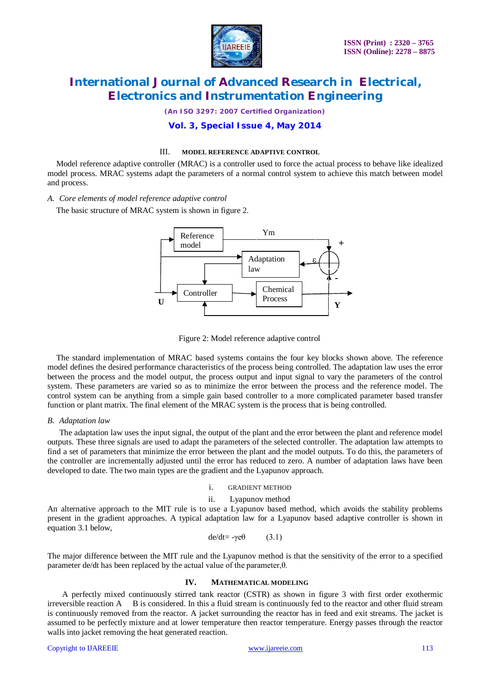

*(An ISO 3297: 2007 Certified Organization)*

# **Vol. 3, Special Issue 4, May 2014**

# III. **MODEL REFERENCE ADAPTIVE CONTROL**

Model reference adaptive controller (MRAC) is a controller used to force the actual process to behave like idealized model process. MRAC systems adapt the parameters of a normal control system to achieve this match between model and process.

### *A. Core elements of model reference adaptive control*

The basic structure of MRAC system is shown in figure 2.





The standard implementation of MRAC based systems contains the four key blocks shown above. The reference model defines the desired performance characteristics of the process being controlled. The adaptation law uses the error between the process and the model output, the process output and input signal to vary the parameters of the control system. These parameters are varied so as to minimize the error between the process and the reference model. The control system can be anything from a simple gain based controller to a more complicated parameter based transfer function or plant matrix. The final element of the MRAC system is the process that is being controlled.

### *B. Adaptation law*

The adaptation law uses the input signal, the output of the plant and the error between the plant and reference model outputs. These three signals are used to adapt the parameters of the selected controller. The adaptation law attempts to find a set of parameters that minimize the error between the plant and the model outputs. To do this, the parameters of the controller are incrementally adjusted until the error has reduced to zero. A number of adaptation laws have been developed to date. The two main types are the gradient and the Lyapunov approach.

### i. GRADIENT METHOD

### ii. Lyapunov method

An alternative approach to the MIT rule is to use a Lyapunov based method, which avoids the stability problems present in the gradient approaches. A typical adaptation law for a Lyapunov based adaptive controller is shown in equation 3.1 below,

$$
de/dt = -\gamma e\theta \qquad (3.1)
$$

The major difference between the MIT rule and the Lyapunov method is that the sensitivity of the error to a specified parameter de/dt has been replaced by the actual value of the parameter,θ.

### **IV. MATHEMATICAL MODELING**

A perfectly mixed continuously stirred tank reactor (CSTR) as shown in figure 3 with first order exothermic irreversible reaction A B is considered. In this a fluid stream is continuously fed to the reactor and other fluid stream is continuously removed from the reactor. A jacket surrounding the reactor has in feed and exit streams. The jacket is assumed to be perfectly mixture and at lower temperature then reactor temperature. Energy passes through the reactor walls into jacket removing the heat generated reaction.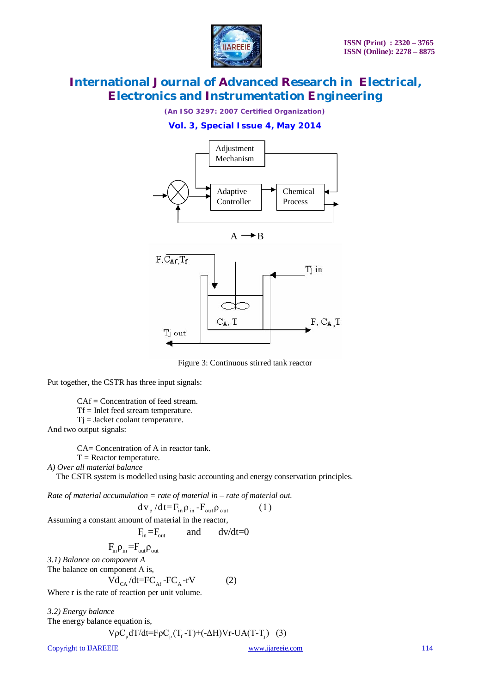

*(An ISO 3297: 2007 Certified Organization)*

# **Vol. 3, Special Issue 4, May 2014**



Figure 3: Continuous stirred tank reactor

Put together, the CSTR has three input signals:

CAf = Concentration of feed stream.

Tf = Inlet feed stream temperature.

 $Ti = Jacket$  coolant temperature.

And two output signals:

CA= Concentration of A in reactor tank.

 $T =$  Reactor temperature.

*A) Over all material balance*

The CSTR system is modelled using basic accounting and energy conservation principles.

*Rate of material accumulation = rate of material in – rate of material out.*

$$
dv_{\rho}/dt = F_{in} \rho_{in} - F_{out} \rho_{out}
$$
 (1)

Assuming a constant amount of material in the reactor,

$$
F_{in} = F_{out} \qquad \text{and} \qquad dv/dt = 0
$$

 $F_{in} \rho_{in} = F_{out} \rho_{out}$ 

*3.1) Balance on component A*

The balance on component A is,

$$
\overrightarrow{Vd}_{CA}/dt = \overrightarrow{FC}_{Af} - \overrightarrow{FC}_A - \overrightarrow{r}V
$$
 (2)

Where r is the rate of reaction per unit volume.

*3.2) Energy balance*  The energy balance equation is,  $V \rho C_p dT/dt = F \rho C_p (T_f - T) + (-\Delta H) V r - UA(T - T_i)$  (3)

Copyright to UAREEIE www.ijareeie.com www.ijareeie.com 114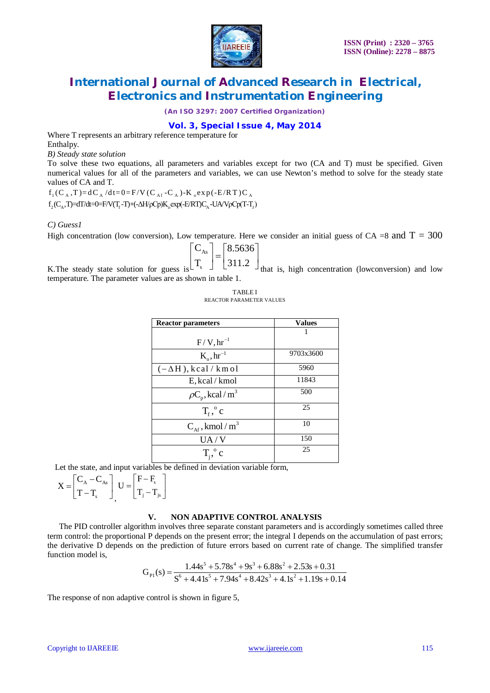

*(An ISO 3297: 2007 Certified Organization)*

# **Vol. 3, Special Issue 4, May 2014**

Where T represents an arbitrary reference temperature for Enthalpy.

*B) Steady state solution*

To solve these two equations, all parameters and variables except for two (CA and T) must be specified. Given numerical values for all of the parameters and variables, we can use Newton's method to solve for the steady state values of CA and T.

 $f_1(C_A, T) = dC_A / dt = 0 = F/V (C_{Af} - C_A) - K_c exp(-E/RT)C_A$  $f_2(C_A, T) = dT/dt = 0 = F/V(T_f - T) + (-\Delta H/\rho Cp)K_{\alpha} exp(-E/RT)C_{\alpha} - UAV\phi Cp(T-T_f)$ 

*C) Guess1*

High concentration (low conversion), Low temperature. Here we consider an initial guess of CA =8 and  $T = 300$ 

$$
\begin{bmatrix} C_{As} \\ T \end{bmatrix} = \begin{bmatrix} 8.5636 \\ 311.2 \end{bmatrix}
$$

K. The steady state solution for guess is  $\begin{bmatrix} C_{As} \\ T_s \end{bmatrix} = \begin{bmatrix} 8.5636 \\ 311.2 \end{bmatrix}$  that is, high concentration (lowconversion) and low temperature. The parameter values are as shown in table 1.

| <b>TABLEI</b>                   |
|---------------------------------|
| <b>REACTOR PARAMETER VALUES</b> |

| <b>Reactor parameters</b>               | <b>Values</b> |
|-----------------------------------------|---------------|
|                                         |               |
| $F/V, hr^{-1}$                          |               |
| $K_0$ , $hr^{-1}$                       | 9703x3600     |
| $(-\Delta H)$ , kcal / km ol            | 5960          |
| E, kcal / kmol                          | 11843         |
| $\rho C_p$ , kcal / m <sup>3</sup>      | 500           |
| $T_f, \circ c$                          | 25            |
| $C_{\text{Af}}$ , kmol / m <sup>3</sup> | 10            |
| UA/V                                    | 150           |
| $T_i$ , $\circ$ c                       | 25            |

Let the state, and input variables be defined in deviation variable form,

$$
X = \begin{bmatrix} C_A - C_{As} \\ T - T_s \end{bmatrix}, U = \begin{bmatrix} F - F_s \\ T_j - T_{js} \end{bmatrix}
$$

# **V. NON ADAPTIVE CONTROL ANALYSIS**

The PID controller algorithm involves three separate constant parameters and is accordingly sometimes called three term control: the proportional P depends on the present error; the integral I depends on the accumulation of past errors; the derivative D depends on the prediction of future errors based on current rate of change. The simplified transfer function model is,

$$
G_{p1}(s) = \frac{1.44s^5 + 5.78s^4 + 9s^3 + 6.88s^2 + 2.53s + 0.31}{S^6 + 4.41s^5 + 7.94s^4 + 8.42s^3 + 4.1s^2 + 1.19s + 0.14}
$$

The response of non adaptive control is shown in figure 5,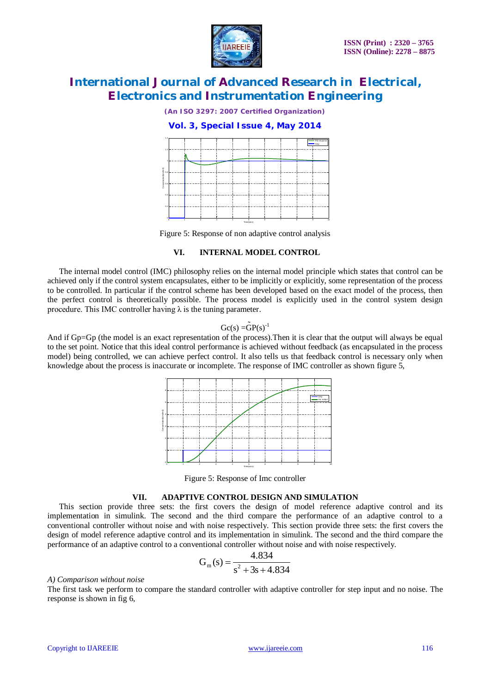

*(An ISO 3297: 2007 Certified Organization)*



Figure 5: Response of non adaptive control analysis

# **VI. INTERNAL MODEL CONTROL**

The internal model control (IMC) philosophy relies on the internal model principle which states that control can be achieved only if the control system encapsulates, either to be implicitly or explicitly, some representation of the process to be controlled. In particular if the control scheme has been developed based on the exact model of the process, then the perfect control is theoretically possible. The process model is explicitly used in the control system design procedure. This IMC controller having  $\lambda$  is the tuning parameter.

#### $\sim$  $Gc(s) = GP(s)^{-1}$

And if Gp=Gp (the model is an exact representation of the process). Then it is clear that the output will always be equal to the set point. Notice that this ideal control performance is achieved without feedback (as encapsulated in the process model) being controlled, we can achieve perfect control. It also tells us that feedback control is necessary only when knowledge about the process is inaccurate or incomplete. The response of IMC controller as shown figure 5,



Figure 5: Response of Imc controller

# **VII. ADAPTIVE CONTROL DESIGN AND SIMULATION**

This section provide three sets: the first covers the design of model reference adaptive control and its implementation in simulink. The second and the third compare the performance of an adaptive control to a conventional controller without noise and with noise respectively. This section provide three sets: the first covers the design of model reference adaptive control and its implementation in simulink. The second and the third compare the performance of an adaptive control to a conventional controller without noise and with noise respectively.

$$
G_m(s) = \frac{4.834}{s^2 + 3s + 4.834}
$$

### *A) Comparison without noise*

The first task we perform to compare the standard controller with adaptive controller for step input and no noise. The response is shown in fig 6,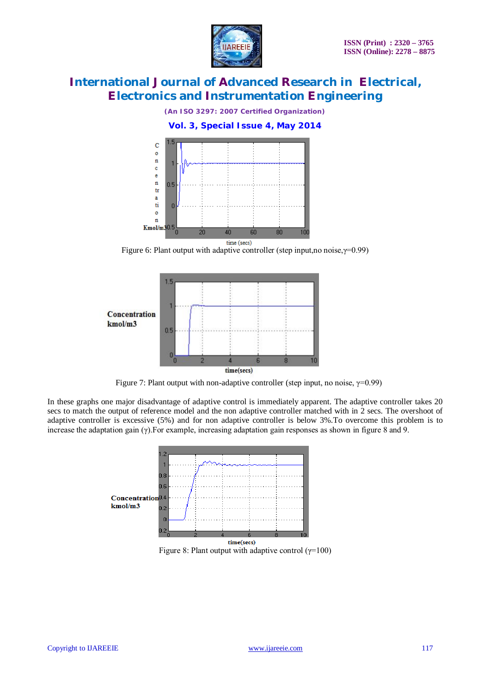

*(An ISO 3297: 2007 Certified Organization)*

**Vol. 3, Special Issue 4, May 2014**  $\mathbf C$  $\circ$  $\mathbf n$  $\mathbf c$  $\ddot{\text{e}}$  $\mathbf n$  $0.5$  $\mathbf{tr}$ a ti  $\Omega$  $\circ$  $\mathbf{n}$ Kmol/m30.5 60 40 80 20 100 time (secs)

Figure 6: Plant output with adaptive controller (step input,no noise,γ=0.99)



Figure 7: Plant output with non-adaptive controller (step input, no noise,  $\gamma$ =0.99)

In these graphs one major disadvantage of adaptive control is immediately apparent. The adaptive controller takes 20 secs to match the output of reference model and the non adaptive controller matched with in 2 secs. The overshoot of adaptive controller is excessive (5%) and for non adaptive controller is below 3%.To overcome this problem is to increase the adaptation gain ( $\gamma$ ). For example, increasing adaptation gain responses as shown in figure 8 and 9.



Figure 8: Plant output with adaptive control ( $\gamma$ =100)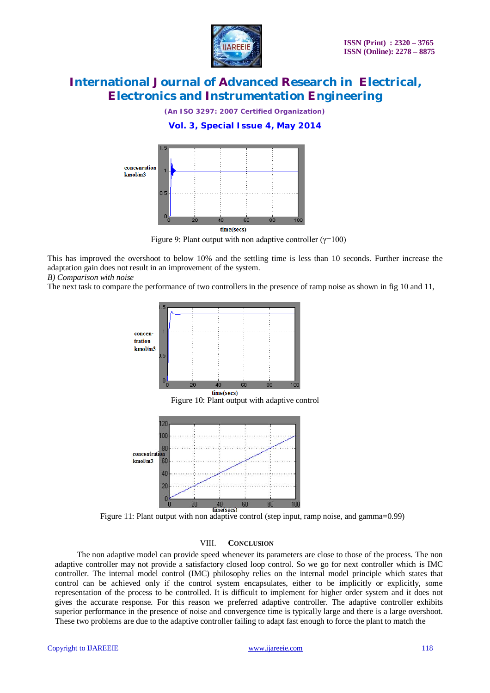

*(An ISO 3297: 2007 Certified Organization)*

**Vol. 3, Special Issue 4, May 2014**



Figure 9: Plant output with non adaptive controller ( $\gamma$ =100)

This has improved the overshoot to below 10% and the settling time is less than 10 seconds. Further increase the adaptation gain does not result in an improvement of the system. *B) Comparison with noise*

The next task to compare the performance of two controllers in the presence of ramp noise as shown in fig 10 and 11,



Figure 11: Plant output with non adaptive control (step input, ramp noise, and gamma=0.99)

### VIII. **CONCLUSION**

The non adaptive model can provide speed whenever its parameters are close to those of the process. The non adaptive controller may not provide a satisfactory closed loop control. So we go for next controller which is IMC controller. The internal model control (IMC) philosophy relies on the internal model principle which states that control can be achieved only if the control system encapsulates, either to be implicitly or explicitly, some representation of the process to be controlled. It is difficult to implement for higher order system and it does not gives the accurate response. For this reason we preferred adaptive controller. The adaptive controller exhibits superior performance in the presence of noise and convergence time is typically large and there is a large overshoot. These two problems are due to the adaptive controller failing to adapt fast enough to force the plant to match the